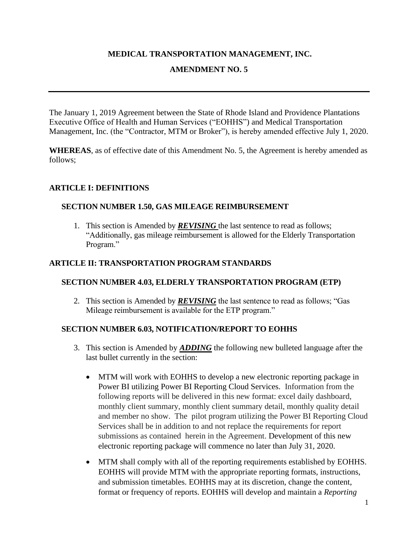## **MEDICAL TRANSPORTATION MANAGEMENT, INC.**

## **AMENDMENT NO. 5**

The January 1, 2019 Agreement between the State of Rhode Island and Providence Plantations Executive Office of Health and Human Services ("EOHHS") and Medical Transportation Management, Inc. (the "Contractor, MTM or Broker"), is hereby amended effective July 1, 2020.

**WHEREAS**, as of effective date of this Amendment No. 5, the Agreement is hereby amended as follows;

## **ARTICLE I: DEFINITIONS**

#### **SECTION NUMBER 1.50, GAS MILEAGE REIMBURSEMENT**

1. This section is Amended by *REVISING* the last sentence to read as follows; "Additionally, gas mileage reimbursement is allowed for the Elderly Transportation Program."

#### **ARTICLE II: TRANSPORTATION PROGRAM STANDARDS**

#### **SECTION NUMBER 4.03, ELDERLY TRANSPORTATION PROGRAM (ETP)**

2. This section is Amended by *REVISING* the last sentence to read as follows; "Gas Mileage reimbursement is available for the ETP program."

#### **SECTION NUMBER 6.03, NOTIFICATION/REPORT TO EOHHS**

- 3. This section is Amended by *ADDING* the following new bulleted language after the last bullet currently in the section:
	- MTM will work with EOHHS to develop a new electronic reporting package in Power BI utilizing Power BI Reporting Cloud Services. Information from the following reports will be delivered in this new format: excel daily dashboard, monthly client summary, monthly client summary detail, monthly quality detail and member no show. The pilot program utilizing the Power BI Reporting Cloud Services shall be in addition to and not replace the requirements for report submissions as contained herein in the Agreement. Development of this new electronic reporting package will commence no later than July 31, 2020.
	- MTM shall comply with all of the reporting requirements established by EOHHS. EOHHS will provide MTM with the appropriate reporting formats, instructions, and submission timetables. EOHHS may at its discretion, change the content, format or frequency of reports. EOHHS will develop and maintain a *Reporting*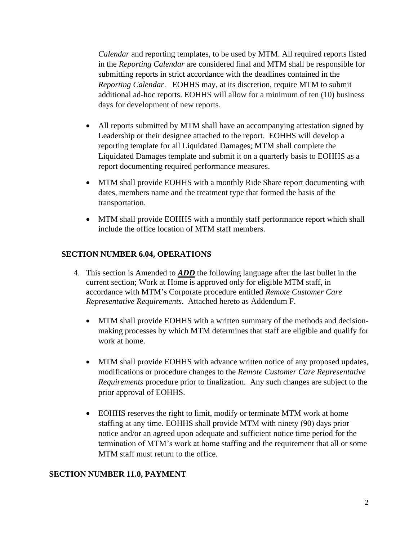*Calendar* and reporting templates, to be used by MTM. All required reports listed in the *Reporting Calendar* are considered final and MTM shall be responsible for submitting reports in strict accordance with the deadlines contained in the *Reporting Calendar*. EOHHS may, at its discretion, require MTM to submit additional ad-hoc reports. EOHHS will allow for a minimum of ten (10) business days for development of new reports.

- All reports submitted by MTM shall have an accompanying attestation signed by Leadership or their designee attached to the report. EOHHS will develop a reporting template for all Liquidated Damages; MTM shall complete the Liquidated Damages template and submit it on a quarterly basis to EOHHS as a report documenting required performance measures.
- MTM shall provide EOHHS with a monthly Ride Share report documenting with dates, members name and the treatment type that formed the basis of the transportation.
- MTM shall provide EOHHS with a monthly staff performance report which shall include the office location of MTM staff members.

## **SECTION NUMBER 6.04, OPERATIONS**

- 4. This section is Amended to *ADD* the following language after the last bullet in the current section; Work at Home is approved only for eligible MTM staff, in accordance with MTM's Corporate procedure entitled *Remote Customer Care Representative Requirements*. Attached hereto as Addendum F.
	- MTM shall provide EOHHS with a written summary of the methods and decisionmaking processes by which MTM determines that staff are eligible and qualify for work at home.
	- MTM shall provide EOHHS with advance written notice of any proposed updates, modifications or procedure changes to the *Remote Customer Care Representative Requirements* procedure prior to finalization. Any such changes are subject to the prior approval of EOHHS.
	- EOHHS reserves the right to limit, modify or terminate MTM work at home staffing at any time. EOHHS shall provide MTM with ninety (90) days prior notice and/or an agreed upon adequate and sufficient notice time period for the termination of MTM's work at home staffing and the requirement that all or some MTM staff must return to the office.

## **SECTION NUMBER 11.0, PAYMENT**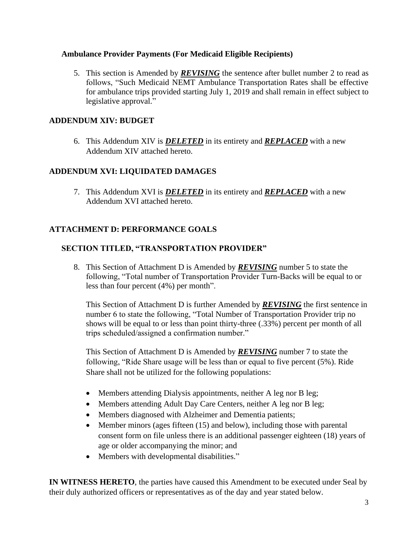## **Ambulance Provider Payments (For Medicaid Eligible Recipients)**

5. This section is Amended by *REVISING* the sentence after bullet number 2 to read as follows, "Such Medicaid NEMT Ambulance Transportation Rates shall be effective for ambulance trips provided starting July 1, 2019 and shall remain in effect subject to legislative approval."

# **ADDENDUM XIV: BUDGET**

6. This Addendum XIV is *DELETED* in its entirety and *REPLACED* with a new Addendum XIV attached hereto.

## **ADDENDUM XVI: LIQUIDATED DAMAGES**

7. This Addendum XVI is *DELETED* in its entirety and *REPLACED* with a new Addendum XVI attached hereto.

## **ATTACHMENT D: PERFORMANCE GOALS**

## **SECTION TITLED, "TRANSPORTATION PROVIDER"**

8. This Section of Attachment D is Amended by *REVISING* number 5 to state the following, "Total number of Transportation Provider Turn-Backs will be equal to or less than four percent (4%) per month".

This Section of Attachment D is further Amended by *REVISING* the first sentence in number 6 to state the following, "Total Number of Transportation Provider trip no shows will be equal to or less than point thirty-three (.33%) percent per month of all trips scheduled/assigned a confirmation number."

This Section of Attachment D is Amended by *REVISING* number 7 to state the following, "Ride Share usage will be less than or equal to five percent (5%). Ride Share shall not be utilized for the following populations:

- Members attending Dialysis appointments, neither A leg nor B leg;
- Members attending Adult Day Care Centers, neither A leg nor B leg;
- Members diagnosed with Alzheimer and Dementia patients;
- Member minors (ages fifteen (15) and below), including those with parental consent form on file unless there is an additional passenger eighteen (18) years of age or older accompanying the minor; and
- Members with developmental disabilities."

**IN WITNESS HERETO**, the parties have caused this Amendment to be executed under Seal by their duly authorized officers or representatives as of the day and year stated below.